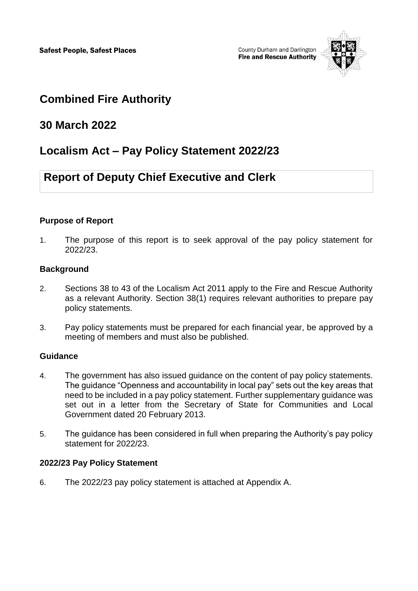

# **Combined Fire Authority**

## **30 March 2022**

# **Localism Act – Pay Policy Statement 2022/23**

# **Report of Deputy Chief Executive and Clerk**

### **Purpose of Report**

1. The purpose of this report is to seek approval of the pay policy statement for 2022/23.

### **Background**

- 2. Sections 38 to 43 of the Localism Act 2011 apply to the Fire and Rescue Authority as a relevant Authority. Section 38(1) requires relevant authorities to prepare pay policy statements.
- 3. Pay policy statements must be prepared for each financial year, be approved by a meeting of members and must also be published.

### **Guidance**

- 4. The government has also issued guidance on the content of pay policy statements. The guidance "Openness and accountability in local pay" sets out the key areas that need to be included in a pay policy statement. Further supplementary guidance was set out in a letter from the Secretary of State for Communities and Local Government dated 20 February 2013.
- 5. The guidance has been considered in full when preparing the Authority's pay policy statement for 2022/23.

### **2022/23 Pay Policy Statement**

6. The 2022/23 pay policy statement is attached at Appendix A.